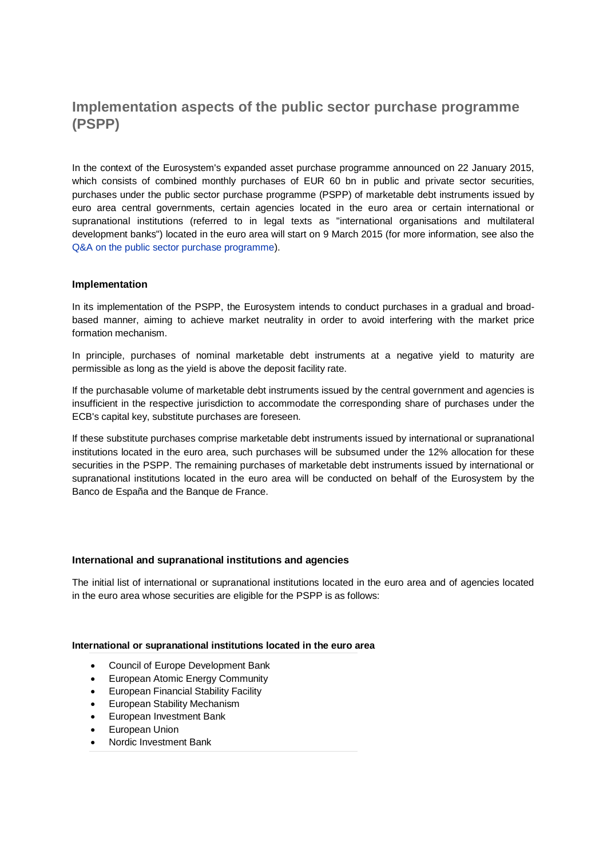# **Implementation aspects of the public sector purchase programme (PSPP)**

In the context of the Eurosystem's expanded asset purchase programme announced on 22 January 2015, which consists of combined monthly purchases of EUR 60 bn in public and private sector securities, purchases under the public sector purchase programme (PSPP) of marketable debt instruments issued by euro area central governments, certain agencies located in the euro area or certain international or supranational institutions (referred to in legal texts as "international organisations and multilateral development banks") located in the euro area will start on 9 March 2015 (for more information, see also the [Q&A on the public sector purchase programme\)](http://www.ecb.europa.eu/mopo/liq/html/pspp-qa.en.html).

## **Implementation**

In its implementation of the PSPP, the Eurosystem intends to conduct purchases in a gradual and broadbased manner, aiming to achieve market neutrality in order to avoid interfering with the market price formation mechanism.

In principle, purchases of nominal marketable debt instruments at a negative yield to maturity are permissible as long as the yield is above the deposit facility rate.

If the purchasable volume of marketable debt instruments issued by the central government and agencies is insufficient in the respective jurisdiction to accommodate the corresponding share of purchases under the ECB's capital key, substitute purchases are foreseen.

If these substitute purchases comprise marketable debt instruments issued by international or supranational institutions located in the euro area, such purchases will be subsumed under the 12% allocation for these securities in the PSPP. The remaining purchases of marketable debt instruments issued by international or supranational institutions located in the euro area will be conducted on behalf of the Eurosystem by the Banco de España and the Banque de France.

### **International and supranational institutions and agencies**

The initial list of international or supranational institutions located in the euro area and of agencies located in the euro area whose securities are eligible for the PSPP is as follows:

### **International or supranational institutions located in the euro area**

- Council of Europe Development Bank
- European Atomic Energy Community
- **European Financial Stability Facility**
- European Stability Mechanism
- European Investment Bank
- **•** European Union
- Nordic Investment Bank